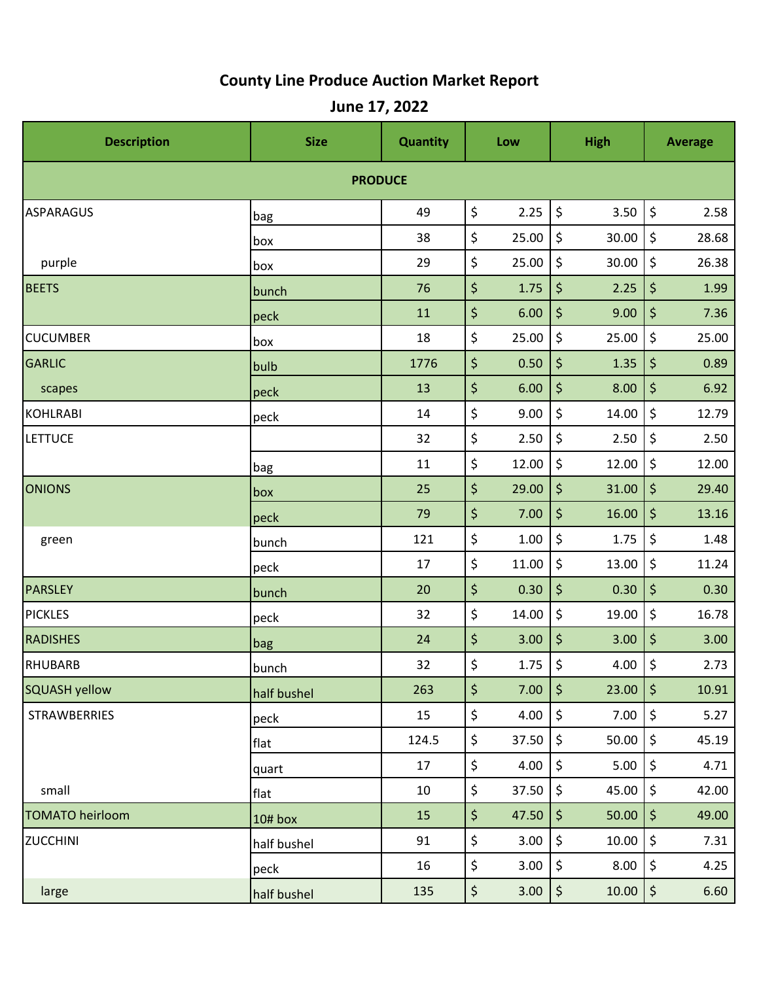## **County Line Produce Auction Market Report**

**June 17, 2022**

| <b>Description</b>     | <b>Size</b> | <b>Quantity</b> |    | Low      | <b>High</b>                    |       | <b>Average</b>                 |       |  |  |  |  |
|------------------------|-------------|-----------------|----|----------|--------------------------------|-------|--------------------------------|-------|--|--|--|--|
| <b>PRODUCE</b>         |             |                 |    |          |                                |       |                                |       |  |  |  |  |
| ASPARAGUS              | bag         | 49              | \$ | 2.25     | $\boldsymbol{\dot{\varsigma}}$ | 3.50  | \$                             | 2.58  |  |  |  |  |
|                        | box         | 38              | \$ | 25.00    | \$                             | 30.00 | \$                             | 28.68 |  |  |  |  |
| purple                 | box         | 29              | \$ | 25.00    | \$                             | 30.00 | \$                             | 26.38 |  |  |  |  |
| <b>BEETS</b>           | bunch       | 76              | \$ | 1.75     | \$                             | 2.25  | \$                             | 1.99  |  |  |  |  |
|                        | peck        | 11              | \$ | 6.00     | \$                             | 9.00  | \$                             | 7.36  |  |  |  |  |
| <b>CUCUMBER</b>        | box         | 18              | \$ | 25.00    | $\boldsymbol{\dot{\varsigma}}$ | 25.00 | \$                             | 25.00 |  |  |  |  |
| GARLIC                 | bulb        | 1776            | \$ | 0.50     | \$                             | 1.35  | \$                             | 0.89  |  |  |  |  |
| scapes                 | peck        | 13              | \$ | 6.00     | \$                             | 8.00  | \$                             | 6.92  |  |  |  |  |
| KOHLRABI               | peck        | 14              | \$ | 9.00     | \$                             | 14.00 | \$                             | 12.79 |  |  |  |  |
| <b>LETTUCE</b>         |             | 32              | \$ | 2.50     | \$                             | 2.50  | \$                             | 2.50  |  |  |  |  |
|                        | bag         | 11              | \$ | 12.00    | $\zeta$                        | 12.00 | \$                             | 12.00 |  |  |  |  |
| <b>ONIONS</b>          | box         | 25              | \$ | 29.00    | \$                             | 31.00 | \$                             | 29.40 |  |  |  |  |
|                        | peck        | 79              | \$ | 7.00     | \$                             | 16.00 | \$                             | 13.16 |  |  |  |  |
| green                  | bunch       | 121             | \$ | $1.00\,$ | $\boldsymbol{\dot{\varsigma}}$ | 1.75  | \$                             | 1.48  |  |  |  |  |
|                        | peck        | 17              | \$ | 11.00    | \$                             | 13.00 | \$                             | 11.24 |  |  |  |  |
| <b>PARSLEY</b>         | bunch       | 20              | \$ | 0.30     | \$                             | 0.30  | \$                             | 0.30  |  |  |  |  |
| <b>PICKLES</b>         | peck        | 32              | \$ | 14.00    | \$                             | 19.00 | \$                             | 16.78 |  |  |  |  |
| <b>RADISHES</b>        | bag         | 24              | \$ | 3.00     | \$                             | 3.00  | \$                             | 3.00  |  |  |  |  |
| RHUBARB                | bunch       | 32              | \$ | 1.75     | \$                             | 4.00  | \$                             | 2.73  |  |  |  |  |
| SQUASH yellow          | half bushel | 263             | \$ | 7.00     | $\zeta$                        | 23.00 | $\vert \varsigma$              | 10.91 |  |  |  |  |
| <b>STRAWBERRIES</b>    | peck        | 15              | \$ | 4.00     | $\boldsymbol{\zeta}$           | 7.00  | \$                             | 5.27  |  |  |  |  |
|                        | flat        | 124.5           | \$ | 37.50    | $\zeta$                        | 50.00 | $\zeta$                        | 45.19 |  |  |  |  |
|                        | quart       | 17              | \$ | 4.00     | \$                             | 5.00  | \$                             | 4.71  |  |  |  |  |
| small                  | flat        | 10              | \$ | 37.50    | $\boldsymbol{\dot{\varsigma}}$ | 45.00 | $\boldsymbol{\zeta}$           | 42.00 |  |  |  |  |
| <b>TOMATO heirloom</b> | $10#$ box   | 15              | \$ | 47.50    | $\zeta$                        | 50.00 | $\zeta$                        | 49.00 |  |  |  |  |
| <b>ZUCCHINI</b>        | half bushel | 91              | \$ | 3.00     | $\zeta$                        | 10.00 | \$                             | 7.31  |  |  |  |  |
|                        | peck        | 16              | \$ | 3.00     | $\boldsymbol{\dot{\varsigma}}$ | 8.00  | $\boldsymbol{\dot{\varsigma}}$ | 4.25  |  |  |  |  |
| large                  | half bushel | 135             | \$ | 3.00     | $\boldsymbol{\zeta}$           | 10.00 | $\boldsymbol{\zeta}$           | 6.60  |  |  |  |  |